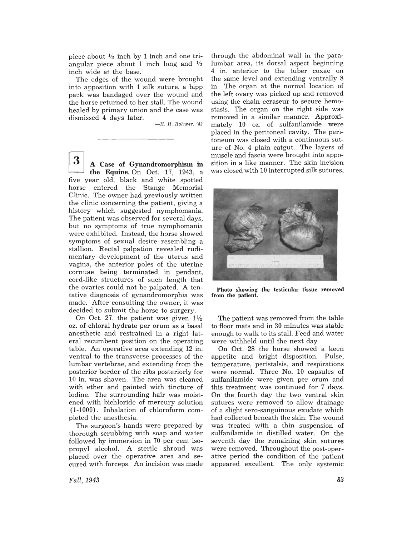piece about  $\frac{1}{2}$  inch by 1 inch and one triangular piece about 1 inch long and  $\frac{1}{2}$ inch wide at the base.

The edges of the wound were brought into apposition with 1 silk suture, a bipp pack was bandaged over the wound and the horse returned to her stall. The wound healed by primary union and the case was dismissed 4 days later.

 $-H. H. Rhwer, '43$ 

 $3<sup>2</sup>$  A Case of Gynandromorphism in the Equine. On Oct. 17, 1943, a five year old, black and white spotted horse entered the Stange Memorial Clinic. The owner had previously written the clinic concerning the patient, giving a history which suggested nymphomania. The patient was observed for several days, but no symptoms of true nymphomania were exhibited. Instead, the horse showed symptoms of sexual desire resembling a stallion. Rectal palpation revealed rudimentary development of the uterus and vagina, the anterior poles of the uterine cornuae being terminated in pendant, cord-like structures of such length that the ovaries could not be palpated. A tentative diagnosis of gynandromorphia was made. After consulting the owner, it was decided to submit the horse to surgery.

On Oct. 27, the patient was given  $1\frac{1}{2}$ oz. of chloral hydrate per orum as a basal anesthetic and restrained in a right lateral recumbent position on the operating table. An operative area extending 12 in. ventral to the transverse processes of the lumbar vertebrae, and extending from the posterior border of the ribs posteriorly for 10 in. was shaven. The area was cleaned with ether and painted with tincture of iodine. The surrounding hair was moistened with bichloride of mercury solution (1-1000). Inhalation of chloroform completed the anesthesia.

The surgeon's hands were prepared by thorough scrubbing with soap and water followed by immersion in 70 per cent isopropyl alcohol. A sterile shroud was placed over the operative area and secured with forceps. An incision was made

through the abdominal wall in the paralumbar area, its dorsal aspect beginning 4 in. anterior to the tuber coxae on the same level and extending ventrally 8 in. The organ at the normal location of the left ovary was picked up and removed using the chain ecraseur to secure hemostasis. The organ on the right side was removed in a similar manner. Approximately 10 oz. of sulfanilamide were placed in the peritoneal cavity. The peritoneum was closed with a continuous suture of No.4 plain catgut. The layers of muscle and fascia were brought into apposition in a like manner. The skin incision was closed with 10 interrupted silk sutures.



Photo showing the testicular tissue removed from the patient.

The patient was removed from the table to floor mats and in 30 minutes was stable enough to walk to its stall. Feed and water were withheld until the next day

On Oct. 28 the horse showed a keen appetite and bright disposition. Pulse, temperature, peristalsis, and respirations were normal. Three No. 10 capsules of sulfanilamide were given per orum and this treatment was continued for 7 days. On the fourth day the two ventral skin sutures were removed to allow drainage of a slight sero-sanguinous exudate which had collected beneath the skin. The wound was treated with a thin suspension of sulfanilamide in distilled water. On the seventh day the remaining skin sutures were removed. Throughout the post-operative period the condition of the patient appeared excellent. The only systemic